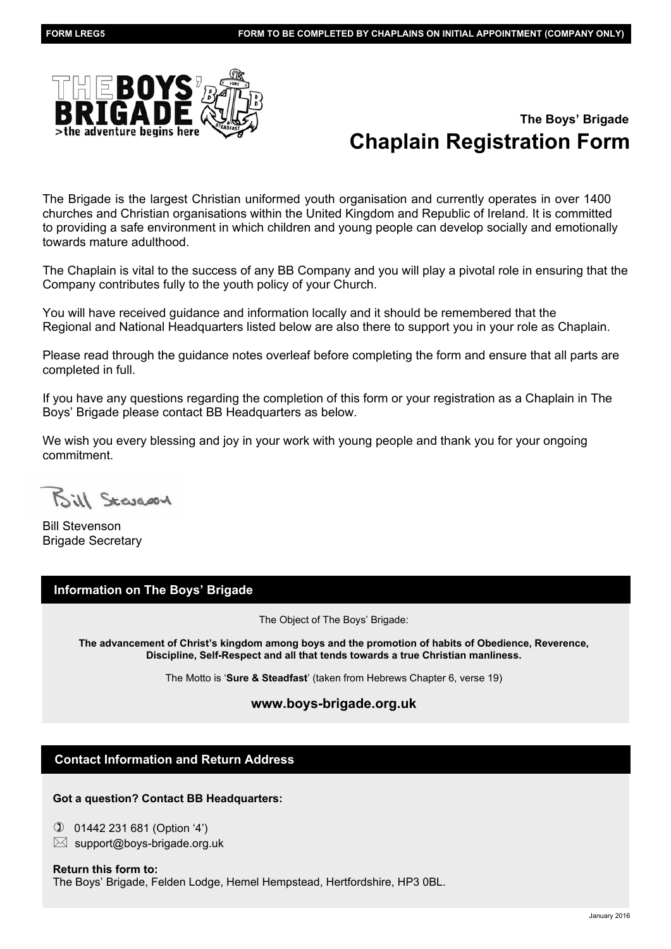

## **Chaplain Registration Form The Boys' Brigade**

The Brigade is the largest Christian uniformed youth organisation and currently operates in over 1400 churches and Christian organisations within the United Kingdom and Republic of Ireland. It is committed to providing a safe environment in which children and young people can develop socially and emotionally towards mature adulthood.

The Chaplain is vital to the success of any BB Company and you will play a pivotal role in ensuring that the Company contributes fully to the youth policy of your Church.

You will have received guidance and information locally and it should be remembered that the Regional and National Headquarters listed below are also there to support you in your role as Chaplain.

Please read through the guidance notes overleaf before completing the form and ensure that all parts are completed in full.

If you have any questions regarding the completion of this form or your registration as a Chaplain in The Boys' Brigade please contact BB Headquarters as below.

We wish you every blessing and joy in your work with young people and thank you for your ongoing commitment.

Bill Scenepor

Bill Stevenson Brigade Secretary

### **Information on The Boys' Brigade**

The Object of The Boys' Brigade:

**The advancement of Christ's kingdom among boys and the promotion of habits of Obedience, Reverence, Discipline, Self-Respect and all that tends towards a true Christian manliness.**

The Motto is '**Sure & Steadfast**' (taken from Hebrews Chapter 6, verse 19)

**www.boys-brigade.org.uk**

### **Contact Information and Return Address**

### **Got a question? Contact BB Headquarters:**

✆ 01442 231 681 (Option '4')

 $\boxtimes$  support@boys-brigade.org.uk

### **Return this form to:**

The Boys' Brigade, Felden Lodge, Hemel Hempstead, Hertfordshire, HP3 0BL.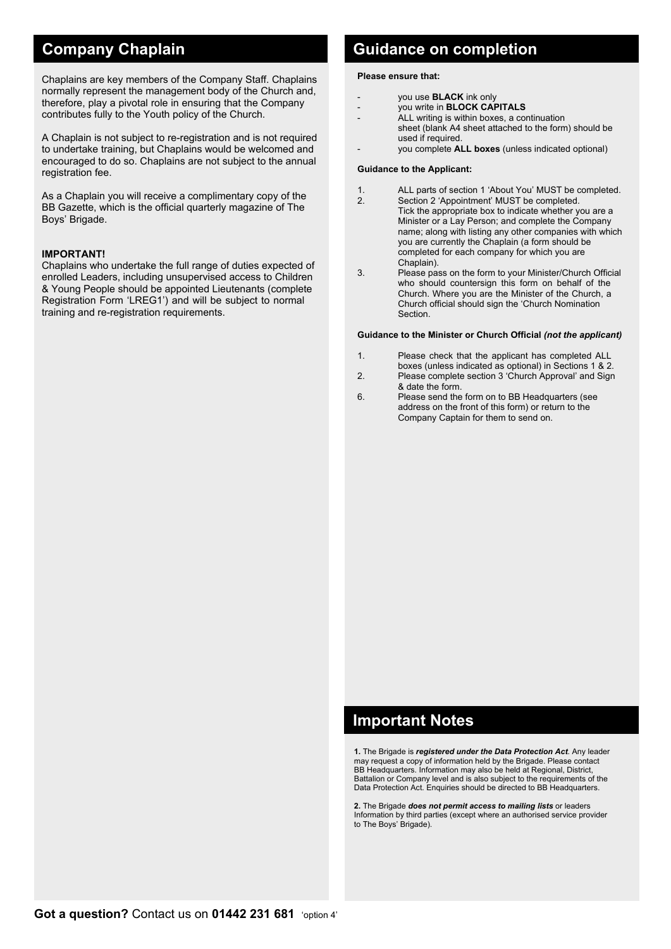Chaplains are key members of the Company Staff. Chaplains normally represent the management body of the Church and, therefore, play a pivotal role in ensuring that the Company contributes fully to the Youth policy of the Church.

A Chaplain is not subject to re-registration and is not required to undertake training, but Chaplains would be welcomed and encouraged to do so. Chaplains are not subject to the annual registration fee.

As a Chaplain you will receive a complimentary copy of the BB Gazette, which is the official quarterly magazine of The Boys' Brigade.

#### **IMPORTANT!**

Chaplains who undertake the full range of duties expected of enrolled Leaders, including unsupervised access to Children & Young People should be appointed Lieutenants (complete Registration Form 'LREG1') and will be subject to normal training and re-registration requirements.

### **Company Chaplain Company Chaplain** Completion

#### **Please ensure that:**

- you use **BLACK** ink only
- you write in **BLOCK CAPITALS**
- ALL writing is within boxes, a continuation sheet (blank A4 sheet attached to the form) should be used if required.
	- you complete **ALL boxes** (unless indicated optional)

#### **Guidance to the Applicant:**

Section.

- 1. ALL parts of section 1 'About You' MUST be completed. 2. Section 2 'Appointment' MUST be completed. Tick the appropriate box to indicate whether you are a Minister or a Lay Person; and complete the Company name; along with listing any other companies with which
- you are currently the Chaplain (a form should be completed for each company for which you are Chaplain). 3. Please pass on the form to your Minister/Church Official who should countersign this form on behalf of the Church. Where you are the Minister of the Church, a Church official should sign the 'Church Nomination

#### **Guidance to the Minister or Church Official** *(not the applicant)*

- 1. Please check that the applicant has completed ALL
- boxes (unless indicated as optional) in Sections 1 & 2. Please complete section 3 'Church Approval' and Sign
- & date the form. 6. Please send the form on to BB Headquarters (see
- address on the front of this form) or return to the Company Captain for them to send on.

### **Important Notes**

**1.** The Brigade is *registered under the Data Protection Act*. Any leader may request a copy of information held by the Brigade. Please contact BB Headquarters. Information may also be held at Regional, District, Battalion or Company level and is also subject to the requirements of the Data Protection Act. Enquiries should be directed to BB Headquarters.

**2.** The Brigade *does not permit access to mailing lists* or leaders Information by third parties (except where an authorised service provider to The Boys' Brigade).